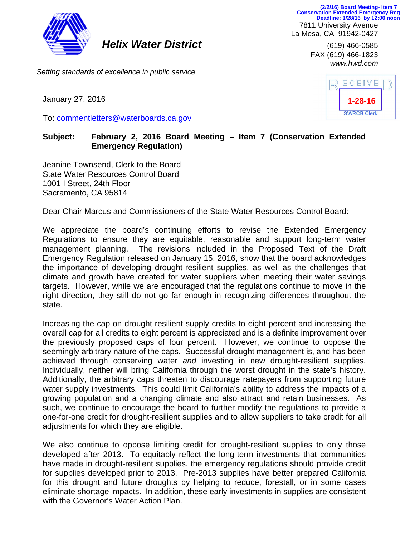

*Helix Water District* (619) 466-0585

7811 University Avenue La Mesa, CA 91942-0427 **(2/2/16) Board Meeting- Item 7 Conservation Extended Emergency Reg Deadline: 1/28/16 by 12:00 noon**

> FAX (619) 466-1823 *www.hwd.com*

*Setting standards of excellence in public service*

January 27, 2016

To: commentletters@waterboards.ca.gov

| ECEIVE             |  |
|--------------------|--|
| 1-28-16            |  |
| <b>SWRCB Clerk</b> |  |

## **Subject: February 2, 2016 Board Meeting – Item 7 (Conservation Extended Emergency Regulation)**

Jeanine Townsend, Clerk to the Board State Water Resources Control Board 1001 I Street, 24th Floor Sacramento, CA 95814

Dear Chair Marcus and Commissioners of the State Water Resources Control Board:

We appreciate the board's continuing efforts to revise the Extended Emergency Regulations to ensure they are equitable, reasonable and support long-term water management planning. The revisions included in the Proposed Text of the Draft Emergency Regulation released on January 15, 2016, show that the board acknowledges the importance of developing drought-resilient supplies, as well as the challenges that climate and growth have created for water suppliers when meeting their water savings targets. However, while we are encouraged that the regulations continue to move in the right direction, they still do not go far enough in recognizing differences throughout the state.

Increasing the cap on drought-resilient supply credits to eight percent and increasing the overall cap for all credits to eight percent is appreciated and is a definite improvement over the previously proposed caps of four percent. However, we continue to oppose the seemingly arbitrary nature of the caps. Successful drought management is, and has been achieved through conserving water *and* investing in new drought-resilient supplies. Individually, neither will bring California through the worst drought in the state's history. Additionally, the arbitrary caps threaten to discourage ratepayers from supporting future water supply investments. This could limit California's ability to address the impacts of a growing population and a changing climate and also attract and retain businesses. As such, we continue to encourage the board to further modify the regulations to provide a one-for-one credit for drought-resilient supplies and to allow suppliers to take credit for all adjustments for which they are eligible.

We also continue to oppose limiting credit for drought-resilient supplies to only those developed after 2013. To equitably reflect the long-term investments that communities have made in drought-resilient supplies, the emergency regulations should provide credit for supplies developed prior to 2013. Pre-2013 supplies have better prepared California for this drought and future droughts by helping to reduce, forestall, or in some cases eliminate shortage impacts. In addition, these early investments in supplies are consistent with the Governor's Water Action Plan.